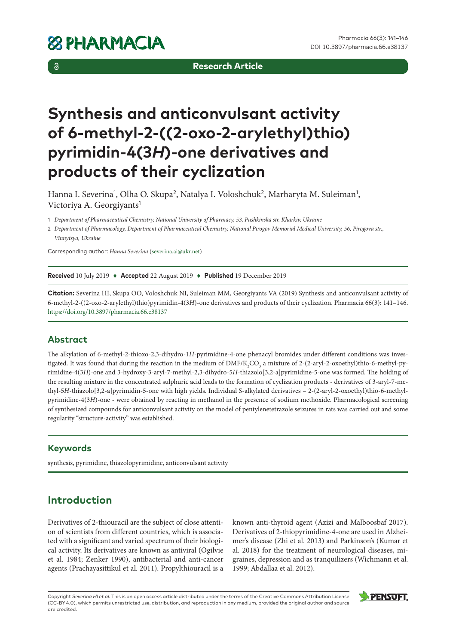$\delta$ 

**Research Article**

# **Synthesis and anticonvulsant activity of 6-methyl-2-((2-oxo-2-arylethyl)thio) pyrimidin-4(3***H***)-one derivatives and products of their cyclization**

Hanna I. Severina<sup>1</sup>, Olha O. Skupa<sup>2</sup>, Natalya I. Voloshchuk<sup>2</sup>, Marharyta M. Suleiman<sup>1</sup>, Victoriya A. Georgiyants<sup>1</sup>

1 *Department of Pharmaceutical Chemistry, National University of Pharmacy, 53, Pushkinska str. Kharkiv, Ukraine*

2 *Department of Pharmacology, Department of Pharmaceutical Chemistry, National Pirogov Memorial Medical University, 56, Pirogova str., Vinnytsya, Ukraine*

Corresponding author: *Hanna Severina* [\(severina.ai@ukr.net\)](mailto:severina.ai@ukr.net)

**Received** 10 July 2019 ♦ **Accepted** 22 August 2019 ♦ **Published** 19 December 2019

**Citation:** Severina HI, Skupa OO, Voloshchuk NI, Suleiman MM, Georgiyants VA (2019) Synthesis and anticonvulsant activity of 6-methyl-2-((2-oxo-2-arylethyl)thio)pyrimidin-4(3*Н*)-one derivatives and products of their cyclization. Pharmacia 66(3): 141–146. <https://doi.org/10.3897/pharmacia.66.e38137>

#### **Abstract**

The alkylation of 6-methyl-2-thioxo-2,3-dihydro-1*H*-pyrimidine-4-one phenacyl bromides under different conditions was investigated. It was found that during the reaction in the medium of  $\rm DMF/K_{2}CO_{_3}$  a mixture of 2-(2-aryl-2-oxoethyl)thio-6-methyl-pyrimidine-4(3*H*)-one and 3-hydroxy-3-aryl-7-methyl-2,3-dihydro-5*H*-thiazolo[3,2-a]pyrimidine-5-one was formed. The holding of the resulting mixture in the concentrated sulphuric acid leads to the formation of cyclization products - derivatives of 3-aryl-7-methyl-5*H*-thiazolo[3,2-a]pyrimidin-5-one with high yields. Individual S-alkylated derivatives – 2-(2-aryl-2-oxoethyl)thio-6-methylpyrimidine-4(3*H*)-one - were obtained by reacting in methanol in the presence of sodium methoxide. Pharmacological screening of synthesized compounds for anticonvulsant activity on the model of pentylenetetrazole seizures in rats was carried out and some regularity "structure-activity" was established.

#### **Keywords**

synthesis, pyrimidine, thiazolopyrimidine, anticonvulsant activity

## **Introduction**

Derivatives of 2-thiouraсil are the subject of close attention of scientists from different countries, which is associated with a significant and varied spectrum of their biological activity. Its derivatives are known as antiviral (Ogilvie et al. 1984; Zenker 1990), antibacterial and anti-cancer agents (Prachayasittikul et al. 2011). Propylthiouracil is a known anti-thyroid agent (Azizi and Malboosbaf 2017). Derivatives of 2-thiopyrimidine-4-one are used in Alzheimer's disease (Zhi et al. 2013) and Parkinson's (Kumar et al. 2018) for the treatment of neurological diseases, migraines, depression and as tranquilizers (Wichmann et al. 1999; Abdallaa et al. 2012).

Copyright *Severina HI et al.* This is an open access article distributed under the terms of the Creative Commons Attribution License (CC-BY 4.0), which permits unrestricted use, distribution, and reproduction in any medium, provided the original author and source are credited.

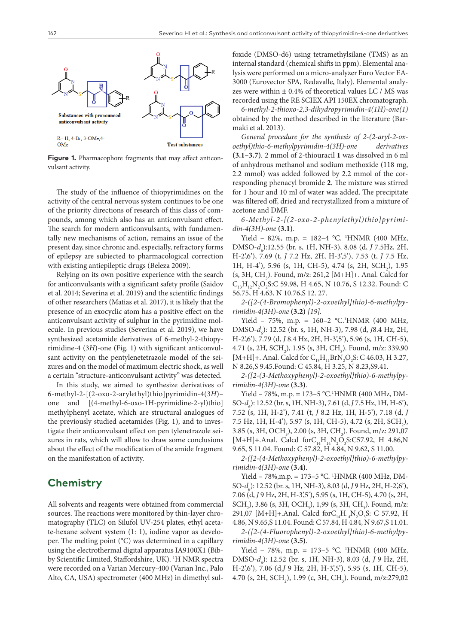

**Figure 1.** Pharmacophore fragments that may affect anticonvulsant activity.

The study of the influence of thiopyrimidines on the activity of the central nervous system continues to be one of the priority directions of research of this class of compounds, among which also has an anticonvulsant effect. The search for modern anticonvulsants, with fundamentally new mechanisms of action, remains an issue of the present day, since chronic and, especially, refractory forms of epilepsy are subjected to pharmacological correction with existing antiepileptic drugs (Beleza 2009).

Relying on its own positive experience with the search for anticonvulsants with a significant safety profile (Saidov et al. 2014; Severina et al. 2019) and the scientific findings of other researchers (Matias et al. 2017), it is likely that the presence of an exocyclic atom has a positive effect on the anticonvulsant activity of sulphur in the pyrimidine molecule. In previous studies (Severina et al. 2019), we have synthesized acetamide derivatives of 6-methyl-2-thiopyrimidine-4 (3*H*)-one (Fig. 1) with significant anticonvulsant activity on the pentylenetetrazole model of the seizures and on the model of maximum electric shock, as well a certain "structure-anticonvulsant activity" was detected.

In this study, we aimed to synthesize derivatives of 6-methyl-2-[(2-oxo-2-arylethyl)thio]pyrimidin-4(3*H*)– one and [(4-methyl-6-oxo-1H-pyrimidine-2-yl)thio] methylphenyl acetate, which are structural analogues of the previously studied acetamides (Fig. 1), and to investigate their anticonvulsant effect on pen tylenetrazole seizures in rats, which will allow to draw some conclusions about the effect of the modification of the amide fragment on the manifestation of activity.

## **Chemistry**

All solvents and reagents were obtained from commercial sources. The reactions were monitored by thin-layer chromatography (TLC) on Silufol UV-254 plates, ethyl acetate-hexane solvent system (1: 1), iodine vapor as developer. The melting point (°C) was determined in a capillary using the electrothermal digital apparatus IA9100X1 (Bibby Scientific Limited, Staffordshire, UK). <sup>1</sup>H NMR spectra were recorded on a Varian Mercury-400 (Varian Inc., Palo Alto, CA, USA) spectrometer (400 MHz) in dimethyl sulfoxide (DMSO-d6) using tetramethylsilane (TMS) as an internal standard (chemical shifts in ppm). Elemental analysis were performed on a micro-analyzer Euro Vector EA-3000 (Eurovector SPA, Redavalle, Italy). Elemental analyzes were within  $\pm$  0.4% of theoretical values LC / MS was recorded using the RE SCIEX API 150EX chromatograph.

*6-methyl-2-thioxo-2,3-dihydropyrimidin-4(1H)-one(1)* obtained by the method described in the literature (Barmaki et al. 2013).

*General procedure for the synthesis of 2-(2-aryl-2-oxoethyl)thio-6-methylpyrimidin-4(3H)-one derivatives*  **(3.1–3.7)***.* 2 mmol of 2-thiouracil **1** was dissolved in 6 ml of anhydrous methanol and sodium methoxide (118 mg, 2.2 mmol) was added followed by 2.2 mmol of the corresponding phenacyl bromide **2**. The mixture was stirred for 1 hour and 10 ml of water was added. The precipitate was filtered off, dried and recrystallized from a mixture of acetone and DMF.

*6-Methyl-2-[(2-oxo-2-phenylethyl)thio]pyrimidin-4(3H)-one* **(3.1)**.

Yield - 82%, m.p. = 182-4 °C. <sup>1</sup>HNMR (400 MHz, DMSO- $d_6$ ):12.55 (br. s, 1H, NH-3), 8.08 (d, *J* 7.5Hz, 2H, H-2',6'), 7.69 (t, *J* 7.2 Hz, 2H, H-3',5'), 7.53 (t, *J* 7.5 Hz, 1H, H-4'), 5.96 (s, 1H, CH-5), 4.74 (s, 2H, SCH<sub>2</sub>), 1.95  $(s, 3H, CH<sub>3</sub>)$ . Found, m/z: 261,2 [M+H]+. Anal. Calcd for  $C_{13}H_{12}N_2O_2S:C$  59.98, H 4.65, N 10.76, S 12.32. Found: C 56.75, Н 4.63, N 10.76,S 12. 27.

*2-([2-(4-Bromophenyl)-2-oxoethyl]thio)-6-methylpyrimidin-4(3H)-one* **(3.2)** *[19].*

Yield - 75%, m.p. = 160-2 °C.<sup>1</sup>HNMR (400 MHz, DMSO-*d*<sup>6</sup> ): 12.52 (br. s, 1Н, NH-3), 7.98 (d, *J*8.4 Hz, 2H, H-2',6'), 7.79 (d, *J* 8.4 Hz, 2H, H-3',5'), 5.96 (s, 1H, CH-5), 4.71 (s, 2H, SCH<sub>2</sub>), 1.95 (s, 3H, CH<sub>3</sub>). Found, m/z: 339,90 [M+H]+. Anal. Calcd for  $C_{13}H_{11}BrN_2O_2S$ : C 46.03, H 3.27, N 8.26,S 9.45.Found: C 45.84, Н 3.25, N 8.23,S9.41.

*2-([2-(3-Methoxyphenyl)-2-oxoethyl]thio)-6-methylpyrimidin-4(3H)-one* **(3.3)**.

Yield - 78%, m.p. = 173-5 °C.<sup>1</sup>HNMR (400 MHz, DM-SO-*d*<sup>6</sup> ): 12.52 (br. s, 1Н, NH-3), 7.61 (d, *J* 7.5 Hz, 1H, H-6'), 7.52 (s, 1H, H-2'), 7.41 (t, *J* 8.2 Hz, 1H, H-5'), 7.18 (d, *J* 7.5 Hz, 1H, H-4'), 5.97 (s, 1H, CH-5), 4.72 (s, 2H, SCH<sub>2</sub>), 3.85 (s, 3H, OCH<sub>3</sub>), 2.00 (s, 3H, CH<sub>3</sub>). Found, m/z: 291,07 [M+H]+.Anal. Calcd for  $C_{14}H_{14}N_2O_3S$ :C57.92, H 4.86,N 9.65, S 11.04. Found: C 57.82, Н 4.84, N 9.62, S 11.00.

*2-([2-(4-Methoxyphenyl)-2-oxoethyl]thio)-6-methylpyrimidin-4(3H)-one* **(3.4)**.

Yield - 78%, m.p. = 173-5 °C. <sup>1</sup>HNMR (400 MHz, DM-SO-*d*<sup>6</sup> ): 12.52 (br. s, 1Н, NH-3), 8.03 (d, *J* 9 Hz, 2H, H-2',6'), 7.06 (d, *J* 9 Hz, 2H, H-3',5'), 5.95 (s, 1H, CH-5), 4.70 (s, 2H,  $SCH_2$ ), 3.86 (s, 3H, OCH<sub>3</sub>), 1,99 (s, 3H, CH<sub>3</sub>). Found, m/z: 291,07 [M+H]+.Anal. Calcd forC<sub>14</sub>H<sub>14</sub>N<sub>2</sub>O<sub>3</sub>S: C 57.92, H 4.86, N 9.65,S 11.04. Found: C 57.84, Н 4.84, N 9.67,S 11.01.

*2-([2-(4-Fluorophenyl)-2-oxoethyl]thio)-6-methylpyrimidin-4(3H)-one* **(3.5)**.

Yield - 78%, m.p. = 173-5 °C. <sup>1</sup>HNMR (400 MHz, DMSO- $d_6$ ): 12.52 (br. s, 1H, NH-3), 8.03 (d, *J* 9 Hz, 2H, H-2',6'), 7.06 (d,*J* 9 Hz, 2H, H-3',5'), 5.95 (s, 1H, CH-5), 4.70 (s, 2H, SCH<sub>2</sub>), 1.99 (c, 3H, CH<sub>3</sub>). Found, m/z:279,02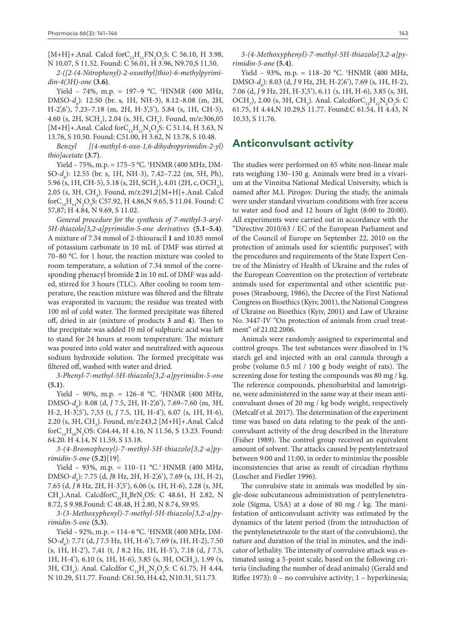[M+H]+.Anal. Calcd for  $C_{13}H_{11}FN_{2}O_{2}S$ : C 56.10, H 3.98, N 10.07, S 11.52. Found: C 56.01, Н 3.96, N9.70,S 11.50.

*2-([2-(4-Nitrophenyl)-2-oxoethyl]thio)-6-methylpyrimidin-4(3H)-one* **(3.6)**.

Yield – 74%, m.p. = 197–9 °C. 1 HNMR (400 MHz, DMSO-*d<sub>6</sub>*): 12.50 (br. s, 1H, NH-3), 8.12–8.08 (m, 2H, H-2',6'), 7.23–7.18 (m, 2H, H-3',5'), 5.84 (s, 1H, CH-5), 4.60 (s, 2H, SCH<sub>2</sub>), 2.04 (s, 3H, CH<sub>3</sub>). Found, m/z:306,05 [M+H]+.Anal. Calcd for  $C_{13}H_{11}N_3O_4S$ : C 51.14, H 3.63, N 13.76, S 10.50. Found: C51.00, Н 3.62, N 13.78, S 10.48.

*Benzyl [(4-methyl-6-oxo-1,6-dihydropyrimidin-2-yl) thio]acetate* **(3.7)**.

Yield – 75%, m.p. = 175–5 °C. <sup>1</sup>HNMR (400 MHz, DM-SO-*d*<sup>6</sup> ): 12.55 (br. s, 1Н, NH-3), 7.42–7.22 (m, 5H, Ph), 5.96 (s, 1H, CH-5), 5.18 (s, 2H, SCH<sub>2</sub>), 4.01 (2H, c, OCH<sub>2</sub>), 2.05 (s, 3H, CH3 ). Found, m/z:291,2[M+H]+.Anal. Calcd forC<sub>14</sub>H<sub>14</sub>N<sub>2</sub>O<sub>3</sub>S: C57.92, H 4.86,N 9.65, S 11.04. Found: C 57,87; Н 4.84, N 9.69, S 11.02.

*General procedure for the synthesis of 7-methyl-3-aryl-5H-thiazolo[3,2-a]pyrimidin-5-one derivatives* **(5.1–5.4)**. A mixture of 7.34 mmol of 2-thiouracil **1** and 10.85 mmol of potassium carbonate in 10 mL of DMF was stirred at 70–80 °C. for 1 hour, the reaction mixture was cooled to room temperature, a solution of 7.34 mmol of the corresponding phenacyl bromide **2** in 10 mL of DMF was added, stirred for 3 hours (TLC). After cooling to room temperature, the reaction mixture was filtered and the filtrate was evaporated in vacuum; the residue was treated with 100 ml of cold water. The formed precipitate was filtered off, dried in air (mixture of products **3** and **4**). Then to the precipitate was added 10 ml of sulphuric acid was left to stand for 24 hours at room temperature. The mixture was poured into cold water and neutralized with aqueous sodium hydroxide solution. The formed precipitate was filtered off, washed with water and dried.

*3-Phenyl-7-methyl-5H-thiazolo[3,2-a]pyrimidin-5-one*  **(5.1)**.

Yield - 90%, m.p. = 126-8 °C. <sup>1</sup>HNMR (400 MHz, DMSO-*d*<sub>6</sub>): 8.08 (d, *J* 7.5, 2H, H-2',6'), 7.69–7.60 (m, 3H, H-2, H-3',5'), 7,53 (t, *J* 7.5, 1H, H-4'), 6.07 (s, 1H, H-6), 2.20 (s, 3H, CH<sub>3</sub>). Found, m/z:243,2 [M+H]+.Anal. Calcd  $\text{for } C_{13}H_{10}N_2$ OS: C64.44, H 4.16, N 11.56, S 13.23. Found: 64.20. Н 4.14, N 11.59, S 13.18.

*3-(4-Bromophenyl)-7-methyl-5H-thiazolo[3,2-a]pyrimidin-5-one* **(5.2)**[19].

Yield – 93%, m.p. = 110–11 °C.<sup>1</sup> HNMR (400 MHz, DMSO-*d*<sub>6</sub>): 7.75 (d, *J*8 Hz, 2H, H-2',6'), 7.69 (s, 1H, H-2), 7.65 (d, *J* 8 Hz, 2H, H-3',5'), 6.06 (s, 1H, H-6), 2.28 (s, 3H,  $CH_3$ ).Anal. Calcdfor $C_{13}H_9BrN_2OS$ : C 48.61, H 2.82, N 8.72, S 9.98.Found: C 48.48, Н 2.80, N 8.74, S9.95.

*3-(3-Methoxyphenyl)-7-methyl-5H-thiazolo[3,2-a]pyrimidin-5-one* **(5.3)**.

Yield – 92%, m.p. = 114–6 °C. 1 HNMR (400 MHz, DM-SO-*d*<sup>6</sup> ): 7.71 (d, *J* 7.5 Hz, 1H, H-6'), 7.69 (s, 1H, H-2), 7.50 (s, 1H, H-2'), 7,41 (t, *J* 8.2 Hz, 1H, H-5'), 7.18 (d, *J* 7.5, 1H, H-4'), 6.10 (s, 1H, H-6), 3.85 (s, 3H, OCH<sub>3</sub>), 1.99 (s, 3H, CH<sub>3</sub>). Anal. Calcdfor C<sub>14</sub>H<sub>12</sub>N<sub>2</sub>O<sub>2</sub>S: C 61.75, H 4.44, N 10.29, S11.77. Found: C61.50, Н4.42, N10.31, S11.73.

*3-(4-Methoxyphenyl)-7-methyl-5H-thiazolo[3,2-a]pyrimidin-5-one* **(5.4)**.

Yield - 93%, m.p. = 118-20 °C. <sup>1</sup>HNMR (400 MHz, DMSO-*d*<sub>6</sub>): 8.03 (d, *J* 9 Hz, 2H, H-2',6'), 7.69 (s, 1H, H-2), 7.06 (d, *J* 9 Hz, 2H, H-3',5'), 6.11 (s, 1H, H-6), 3.85 (s, 3Н, OCH<sub>3</sub>), 2.00 (s, 3H, CH<sub>3</sub>). Anal. CalcdforC<sub>14</sub>H<sub>12</sub>N<sub>2</sub>O<sub>2</sub>S: C 61.75, Н 4.44,N 10.29,S 11.77. Found:C 61.54, Н 4.43, N 10.33, S 11.76.

#### **Anticonvulsant activity**

The studies were performed on 65 white non-linear male rats weighing 130–150 g. Animals were bred in a vivarium at the Vinnitsa National Medical University, which is named after M.I. Pirogov. During the study, the animals were under standard vivarium conditions with free access to water and food and 12 hours of light (8:00 to 20:00). All experiments were carried out in accordance with the "Directive 2010/63 / EC of the European Parliament and of the Council of Europe on September 22, 2010 on the protection of animals used for scientific purposes", with the procedures and requirements of the State Expert Centre of the Ministry of Health of Ukraine and the rules of the European Convention on the protection of vertebrate animals used for experimental and other scientific purposes (Strasbourg, 1986), the Decree of the First National Congress on Bioethics (Kyiv, 2001), the National Congress of Ukraine on Bioethics (Kyiv, 2001) and Law of Ukraine No. 3447-IV "On protection of animals from cruel treatment" of 21.02.2006.

Animals were randomly assigned to experimental and control groups. The test substances were dissolved in 1% starch gel and injected with an oral cannula through a probe (volume 0.5 ml / 100 g body weight of rats). The screening dose for testing the compounds was 80 mg / kg. The reference compounds, phenobarbital and lamotrigine, were administered in the same way at their mean anticonvulsant doses of 20 mg / kg body weight, respectively (Metcalf et al. 2017). The determination of the experiment time was based on data relating to the peak of the anticonvulsant activity of the drug described in the literature (Fisher 1989). The control group received an equivalent amount of solvent. The attacks caused by pentylentetrazol between 9:00 and 11:00, in order to minimize the possible inconsistencies that arise as result of circadian rhythms (Loscher and Fiedler 1996).

The convulsive state in animals was modelled by single-dose subcutaneous administration of pentylenetetrazole (Sigma, USA) at a dose of 80 mg / kg. The manifestation of anticonvulsant activity was estimated by the dynamics of the latent period (from the introduction of the pentylenetetrazole to the start of the convulsions), the nature and duration of the trial in minutes, and the indicator of lethality. The intensity of convulsive attack was estimated using a 5-point scale, based on the following criteria (including the number of dead animals) (Gerald and Riffee 1973): 0 – no convulsive activity; 1 – hyperkinesia;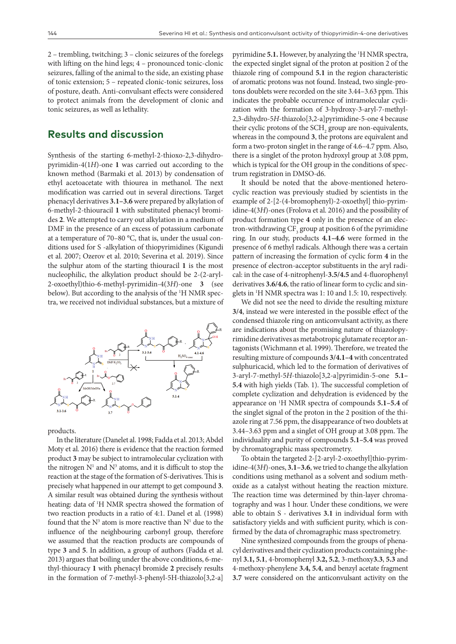2 – trembling, twitching; 3 – clonic seizures of the forelegs with lifting on the hind legs; 4 – pronounced tonic-clonic seizures, falling of the animal to the side, an existing phase of tonic extension; 5 – repeated clonic-tonic seizures, loss of posture, death. Anti-convulsant effects were considered to protect animals from the development of clonic and tonic seizures, as well as lethality.

### **Results and discussion**

Synthesis of the starting 6-methyl-2-thioxo-2,3-dihydropyrimidin-4(1*H*)-one **1** was carried out according to the known method (Barmaki et al. 2013) by condensation of ethyl acetoacetate with thiourea in methanol. The next modification was carried out in several directions. Target phenacyl derivatives **3.1–3.6** were prepared by alkylation of 6-methyl-2-thiouracil **1** with substituted phenacyl bromides **2**. We attempted to carry out alkylation in a medium of DMF in the presence of an excess of potassium carbonate at a temperature of 70–80 °C, that is, under the usual conditions used for S -alkylation of thiopyrimidines (Kigundi et al. 2007; Ozerov et al. 2010; Severina et al. 2019). Since the sulphur atom of the starting thiouracil **1** is the most nucleophilic, the alkylation product should be 2-(2-aryl-2-oxoethyl)thio-6-methyl-pyrimidin-4(3*H*)-one **3** (see below). But according to the analysis of the <sup>1</sup>H NMR spectra, we received not individual substances, but a mixture of



products.

In the literature (Danelet al. 1998; Fadda et al. 2013; Abdel Moty et al. 2016) there is evidence that the reaction formed product **3** may be subject to intramolecular cyclization with the nitrogen  $N<sup>1</sup>$  and  $N<sup>3</sup>$  atoms, and it is difficult to stop the reaction at the stage of the formation of S-derivatives. This is precisely what happened in our attempt to get compound **3**. A similar result was obtained during the synthesis without heating: data of 1 H NMR spectra showed the formation of two reaction products in a ratio of 4:1. Danel et al. (1998) found that the  $N<sup>3</sup>$  atom is more reactive than  $N<sup>1</sup>$  due to the influence of the neighbouring carbonyl group, therefore we assumed that the reaction products are compounds of type **3** and **5**. In addition, a group of authors (Fadda et al. 2013) argues that boiling under the above conditions, 6-methyl-thiouracy **1** with phenacyl bromide **2** precisely results in the formation of 7-methyl-3-phenyl-5H-thiazolo[3,2-a]

pyrimidine **5.1.** However, by analyzing the <sup>1</sup>H NMR spectra, the expected singlet signal of the proton at position 2 of the thiazole ring of compound **5.1** in the region characteristic of aromatic protons was not found. Instead, two single-protons doublets were recorded on the site 3.44–3.63 ppm. This indicates the probable occurrence of intramolecular cyclization with the formation of 3-hydroxy-3-aryl-7-methyl-2,3-dihydro-5*H*-thiazolo[3,2-a]pyrimidine-5-one 4 because their cyclic protons of the  $\text{SCH}_2$  group are non-equivalents, whereas in the compound **3**, the protons are equivalent and form a two-proton singlet in the range of 4.6–4.7 ppm. Also, there is a singlet of the proton hydroxyl group at 3.08 ppm, which is typical for the OH group in the conditions of spectrum registration in DMSO-d6.

It should be noted that the above-mentioned heterocyclic reaction was previously studied by scientists in the example of 2-[2-(4-bromophenyl)-2-oxoethyl] thio-pyrimidine-4(3*H*)-ones (Frolova et al. 2016) and the possibility of product formation type **4** only in the presence of an electron-withdrawing  $\mathrm{CF}_{3}$  group at position 6 of the pyrimidine ring. In our study, products **4.1–4.6** were formed in the presence of 6 methyl radicals. Although there was a certain pattern of increasing the formation of cyclic form **4** in the presence of electron-acceptor substituents in the aryl radical: in the case of 4-nitrophenyl-**3.5/4.5** and 4-fluorophenyl derivatives **3.6/4.6**, the ratio of linear form to cyclic and singlets in 1 H NMR spectra was 1: 10 and 1.5: 10, respectively.

We did not see the need to divide the resulting mixture **3/4**, instead we were interested in the possible effect of the condensed thiazole ring on anticonvulsant activity, as there are indications about the promising nature of thiazolopyrimidine derivatives as metabotropic glutamate receptor antagonists (Wichmann et al. 1999). Therefore, we treated the resulting mixture of compounds **3/4.1–4** with concentrated sulphuricacid, which led to the formation of derivatives of 3-aryl-7-methyl-5*H*-thiazolo[3,2-a]pyrimidin-5-one **5.1– 5.4** with high yields (Tab. 1). The successful completion of complete cyclization and dehydration is evidenced by the appearance on 1 H NMR spectra of compounds **5.1–5.4** of the singlet signal of the proton in the 2 position of the thiazole ring at 7.56 ppm, the disappearance of two doublets at 3.44–3.63 ppm and a singlet of OH group at 3.08 ppm. The individuality and purity of compounds **5.1–5.4** was proved by chromatographic mass spectrometry.

To obtain the targeted 2-[2-aryl-2-oxoethyl]thio-pyrimidine-4(3*H*)-ones, **3.1–3.6**, we tried to change the alkylation conditions using methanol as a solvent and sodium methoxide as a catalyst without heating the reaction mixture. The reaction time was determined by thin-layer chromatography and was 1 hour. Under these conditions, we were able to obtain S - derivatives **3.1** in individual form with satisfactory yields and with sufficient purity, which is confirmed by the data of chromagraphic mass spectrometry.

Nine synthesized compounds from the groups of phenacyl derivatives and their cyclization products containing phenyl **3.1, 5.1**, 4-bromophenyl **3.2, 5.2**, 3-methoxy**3.3**, **5.3** and 4-methoxy-phenylene **3.4, 5.4**, and benzyl acetate fragment **3.7** were considered on the anticonvulsant activity on the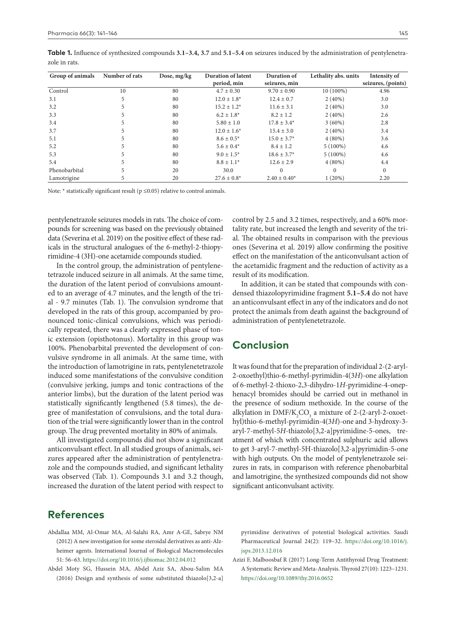| Group of animals | Number of rats | Dose, mg/kg | <b>Duration of latent</b> | Duration of       | Lethality abs. units | Intensity of       |
|------------------|----------------|-------------|---------------------------|-------------------|----------------------|--------------------|
|                  |                |             | period, min               | seizures, min     |                      | seizures, (points) |
| Control          | 10             | 80          | $4.7 \pm 0.30$            | $9.70 \pm 0.90$   | 10 (100%)            | 4.96               |
| 3.1              |                | 80          | $12.0 \pm 1.8^*$          | $12.4 \pm 0.7$    | $2(40\%)$            | 3.0                |
| 3.2              |                | 80          | $15.2 \pm 1.2^*$          | $11.6 \pm 3.1$    | $2(40\%)$            | 3.0                |
| 3.3              |                | 80          | $6.2 \pm 1.8^*$           | $8.2 \pm 1.2$     | $2(40\%)$            | 2.6                |
| 3.4              |                | 80          | $5.80 \pm 1.0$            | $17.8 \pm 3.4^*$  | $3(60\%)$            | 2.8                |
| 3.7              |                | 80          | $12.0 \pm 1.6^*$          | $15.4 \pm 3.0$    | $2(40\%)$            | 3.4                |
| 5.1              |                | 80          | $8.6 \pm 0.5*$            | $15.0 \pm 3.7^*$  | $4(80\%)$            | 3.6                |
| 5.2              |                | 80          | $5.6 \pm 0.4*$            | $8.4 \pm 1.2$     | $5(100\%)$           | 4.6                |
| 5.3              |                | 80          | $9.0 + 1.5*$              | $18.6 \pm 3.7^*$  | $5(100\%)$           | 4.6                |
| 5.4              |                | 80          | $8.8 \pm 1.1*$            | $12.6 \pm 2.9$    | $4(80\%)$            | 4.4                |
| Phenobarbital    |                | 20          | 30.0                      | $\Omega$          |                      | $\Omega$           |
| Lamotrigine      |                | 20          | $27.6 \pm 0.8^*$          | $2.40 \pm 0.40^*$ | 1(20%)               | 2.20               |

**Table 1.** Influence of synthesized compounds **3.1–3.4, 3.7** and **5.1–5.4** on seizures induced by the administration of pentylenetrazole in rats.

Note:  $*$  statistically significant result ( $p \le 0.05$ ) relative to control animals.

pentylenetrazole seizures models in rats. The choice of compounds for screening was based on the previously obtained data (Severina et al. 2019) on the positive effect of these radicals in the structural analogues of the 6-methyl-2-thiopyrimidine-4 (3H)-one acetamide compounds studied.

In the control group, the administration of pentylenetetrazole induced seizure in all animals. At the same time, the duration of the latent period of convulsions amounted to an average of 4.7 minutes, and the length of the trial - 9.7 minutes (Tab. 1). The convulsion syndrome that developed in the rats of this group, accompanied by pronounced tonic-clinical convulsions, which was periodically repeated, there was a clearly expressed phase of tonic extension (opisthotonus). Mortality in this group was 100%. Phenobarbital prevented the development of convulsive syndrome in all animals. At the same time, with the introduction of lamotrigine in rats, pentylenetetrazole induced some manifestations of the convulsive condition (convulsive jerking, jumps and tonic contractions of the anterior limbs), but the duration of the latent period was statistically significantly lengthened (5.8 times), the degree of manifestation of convulsions, and the total duration of the trial were significantly lower than in the control group. The drug prevented mortality in 80% of animals.

All investigated compounds did not show a significant anticonvulsant effect. In all studied groups of animals, seizures appeared after the administration of pentylenetrazole and the compounds studied, and significant lethality was observed (Tab. 1). Compounds 3.1 and 3.2 though, increased the duration of the latent period with respect to

control by 2.5 and 3.2 times, respectively, and a 60% mortality rate, but increased the length and severity of the trial. The obtained results in comparison with the previous ones (Severina et al. 2019) allow confirming the positive effect on the manifestation of the anticonvulsant action of the acetamidic fragment and the reduction of activity as a result of its modification.

In addition, it can be stated that compounds with condensed thiazolopyrimidine fragment **5.1–5.4** do not have an anticonvulsant effect in any of the indicators and do not protect the animals from death against the background of administration of pentylenetetrazole.

## **Conclusion**

It was found that for the preparation of individual 2-(2-aryl-2-oxoethyl)thio-6-methyl-pyrimidin-4(3*H*)-one alkylation of 6-methyl-2-thioxo-2,3-dihydro-1*H*-pyrimidine-4-onеphenacyl bromides should be carried out in methanol in the presence of sodium methoxide. In the course of the alkylation in  $\text{DMF/K}_{2} \text{CO}_{3}$  a mixture of 2-(2-aryl-2-oxoethyl)thio-6-methyl-pyrimidin-4(3*H*)-one and 3-hydroxy-3 aryl-7-methyl-5*H*-thiazolo[3,2-a]pyrimidine-5-ones, treatment of which with concentrated sulphuric acid allows to get 3-aryl-7-methyl-5H-thiazolo[3,2-a]pyrimidin-5-one with high outputs. On the model of pentylenetrazole seizures in rats, in comparison with reference phenobarbital and lamotrigine, the synthesized compounds did not show significant anticonvulsant activity.

#### **References**

- Abdallaa MM, Al-Omar MA, Al-Salahi RA, Amr A-GE, Sabrye NM (2012) A new investigation for some steroidal derivatives as anti-Alzheimer agents. International Journal of Biological Macromolecules 51: 56–63.<https://doi.org/10.1016/j.ijbiomac.2012.04.012>
- Abdel Moty SG, Hussein MA, Abdel Aziz SA, Abou-Salim MA (2016) Design and synthesis of some substituted thiazolo[3,2-a]

pyrimidine derivatives of potential biological activities. Saudi Pharmaceutical Journal 24(2): 119–32. [https://doi.org/10.1016/j.](https://doi.org/10.1016/j.jsps.2013.12.016) [jsps.2013.12.016](https://doi.org/10.1016/j.jsps.2013.12.016)

Azizi F, Malboosbaf R (2017) Long-Term Antithyroid Drug Treatment: A Systematic Review and Meta-Analysis. Thyroid 27(10): 1223–1231. <https://doi.org/10.1089/thy.2016.0652>